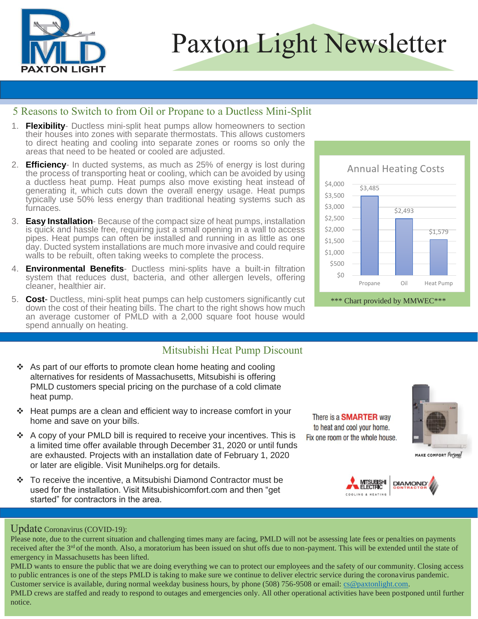

# Paxton Light Newsletter

Ĩ

#### 5 Reasons to Switch to from Oil or Propane to a Ductless Mini-Split

- 1. Flexibility- Ductless mini-split heat pumps allow homeowners to section their houses into zones with separate thermostats. This allows customers to direct heating and cooling into separate zones or rooms so only the areas that need to be heated or cooled are adjusted.
- 2. **Efficiency** In ducted systems, as much as 25% of energy is lost during the process of transporting heat or cooling, which can be avoided by using a ductless heat pump. Heat pumps also move existing heat instead of generating it, which cuts down the overall energy usage. Heat pumps typically use 50% less energy than traditional heating systems such as furnaces.
- 3. **Easy Installation** Because of the compact size of heat pumps, installation is quick and hassle free, requiring just a small opening in a wall to access pipes. Heat pumps can often be installed and running in as little as one day. Ducted system installations are much more invasive and could require walls to be rebuilt, often taking weeks to complete the process.
- 4. **Environmental Benefits** Ductless mini-splits have a built-in filtration system that reduces dust, bacteria, and other allergen levels, offering cleaner, healthier air.
- 5. **Cost** Ductless, mini-split heat pumps can help customers significantly cut down the cost of their heating bills. The chart to the right shows how much an average customer of PMLD with a 2,000 square foot house would spend annually on heating.

## Mitsubishi Heat Pump Discount

- ❖ As part of our efforts to promote clean home heating and cooling alternatives for residents of Massachusetts, Mitsubishi is offering PMLD customers special pricing on the purchase of a cold climate heat pump.
- ❖ Heat pumps are a clean and efficient way to increase comfort in your home and save on your bills.
- ❖ A copy of your PMLD bill is required to receive your incentives. This is a limited time offer available through December 31, 2020 or until funds are exhausted. Projects with an installation date of February 1, 2020 or later are eligible. Visit Munihelps.org for details.
- ❖ To receive the incentive, a Mitsubishi Diamond Contractor must be used for the installation. Visit Mitsubishicomfort.com and then "get started" for contractors in the area.

#### Update Coronavirus (COVID-19):

notice.

Please note, due to the current situation and challenging times many are facing, PMLD will not be assessing late fees or penalties on payments received after the  $3<sup>rd</sup>$  of the month. Also, a moratorium has been issued on shut offs due to non-payment. This will be extended until the state of emergency in Massachusetts has been lifted.

PMLD wants to ensure the public that we are doing everything we can to protect our employees and the safety of our community. Closing access to public entrances is one of the steps PMLD is taking to make sure we continue to deliver electric service during the coronavirus pandemic. Customer service is available, during normal weekday business hours, by phone (508) 756-9508 or email: [cs@paxtonlight.com.](mailto:cs@paxtonlight.com) PMLD crews are staffed and ready to respond to outages and emergencies only. All other operational activities have been postponed until further

\*\*\* Chart provided by MMWEC\*\*\* \$3,485 \$2,493 \$1,579 \$0 \$500 \$1,000 \$1,500 \$2,000 \$2,500 \$3,000 \$3,500 \$4,000 Propane Oil Heat Pump Annual Heating Costs

There is a **SMARTER** way to heat and cool your home. Fix one room or the whole house.



MAKE COMFORT Personal